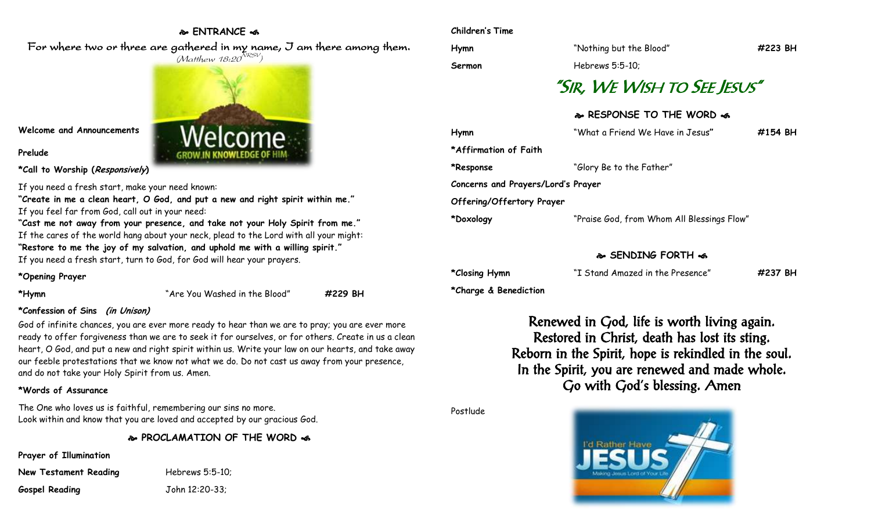## **ENTRANCE**

For where two or three are gathered in my name, I am there among them.



**Welcome and Announcements**

**Prelude**

**\*Call to Worship (Responsively)** 

If you need a fresh start, make your need known:

**"Create in me a clean heart, O God, and put a new and right spirit within me."** If you feel far from God, call out in your need:

**"Cast me not away from your presence, and take not your Holy Spirit from me."** If the cares of the world hang about your neck, plead to the Lord with all your might: **"Restore to me the joy of my salvation, and uphold me with a willing spirit."** If you need a fresh start, turn to God, for God will hear your prayers.

## **\*Opening Prayer**

| *Hymn |
|-------|
|-------|

**\*Hymn** "Are You Washed in the Blood" **#229 BH**

## **\*Confession of Sins (in Unison)**

God of infinite chances, you are ever more ready to hear than we are to pray; you are ever more ready to offer forgiveness than we are to seek it for ourselves, or for others. Create in us a clean heart, O God, and put a new and right spirit within us. Write your law on our hearts, and take away our feeble protestations that we know not what we do. Do not cast us away from your presence, and do not take your Holy Spirit from us. Amen.

## **\*Words of Assurance**

The One who loves us is faithful, remembering our sins no more. Look within and know that you are loved and accepted by our gracious God.

**PROCLAMATION OF THE WORD** 

**Prayer of Illumination**

| <b>New Testament Reading</b> | Hebrews 5:5-10; |
|------------------------------|-----------------|
| <b>Gospel Reading</b>        | John 12:20-33;  |

#### **Children's Time**

**Hymn** "Nothing but the Blood" **#223 BH**

**Sermon** Hebrews 5:5-10;

# "SIR, WE WISH TO SEE JESUS"

## **RESPONSE TO THE WORD**

| Hymn                               | "What a Friend We Have in Jesus"           | #154 BH |  |  |
|------------------------------------|--------------------------------------------|---------|--|--|
| *Affirmation of Faith              |                                            |         |  |  |
| *Response                          | "Glory Be to the Father"                   |         |  |  |
| Concerns and Prayers/Lord's Prayer |                                            |         |  |  |
| Offering/Offertory Prayer          |                                            |         |  |  |
| *Doxology                          | "Praise God, from Whom All Blessings Flow" |         |  |  |
|                                    |                                            |         |  |  |

## **SENDING FORTH**

**\*Closing Hymn** "I Stand Amazed in the Presence" **#237 BH**

**\*Charge & Benediction**

Renewed in God, life is worth living again. Restored in Christ, death has lost its sting. Reborn in the Spirit, hope is rekindled in the soul. In the Spirit, you are renewed and made whole. Go with God's blessing. Amen

Postlude